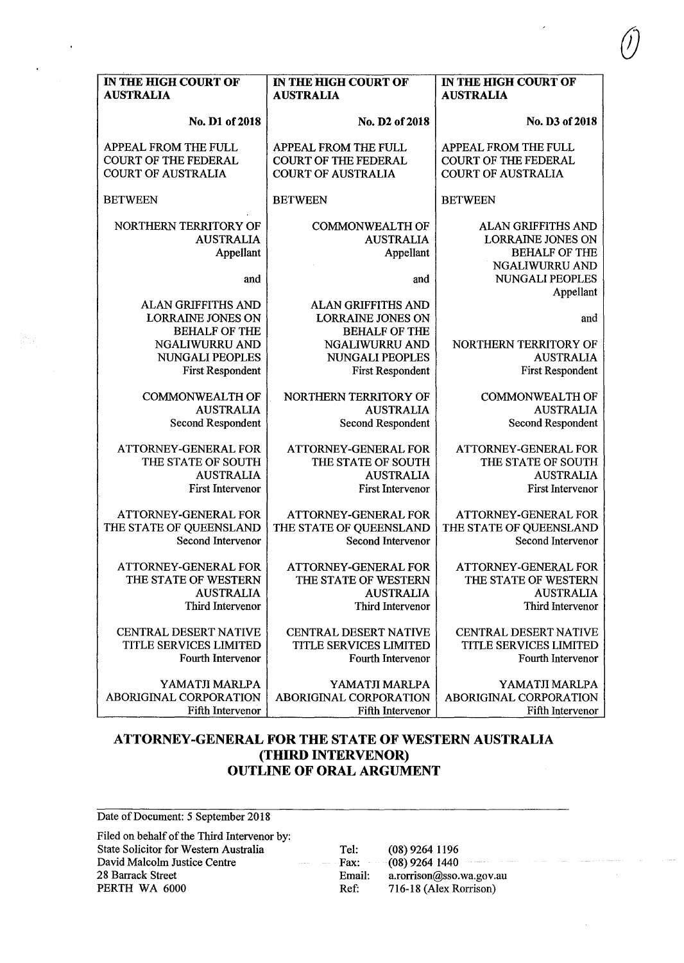| IN THE HIGH COURT OF                                                                     | IN THE HIGH COURT OF                                                                            | IN THE HIGH COURT OF                                                                            |
|------------------------------------------------------------------------------------------|-------------------------------------------------------------------------------------------------|-------------------------------------------------------------------------------------------------|
| <b>AUSTRALIA</b>                                                                         | <b>AUSTRALIA</b>                                                                                | <b>AUSTRALIA</b>                                                                                |
| No. D1 of 2018                                                                           | No. D2 of 2018                                                                                  | No. D3 of 2018                                                                                  |
| APPEAL FROM THE FULL                                                                     | APPEAL FROM THE FULL                                                                            | APPEAL FROM THE FULL                                                                            |
| <b>COURT OF THE FEDERAL</b>                                                              | <b>COURT OF THE FEDERAL</b>                                                                     | <b>COURT OF THE FEDERAL</b>                                                                     |
| <b>COURT OF AUSTRALIA</b>                                                                | <b>COURT OF AUSTRALIA</b>                                                                       | <b>COURT OF AUSTRALIA</b>                                                                       |
| <b>BETWEEN</b>                                                                           | <b>BETWEEN</b>                                                                                  | <b>BETWEEN</b>                                                                                  |
| NORTHERN TERRITORY OF<br><b>AUSTRALIA</b><br>Appellant                                   | <b>COMMONWEALTH OF</b><br><b>AUSTRALIA</b><br>Appellant                                         | <b>ALAN GRIFFITHS AND</b><br><b>LORRAINE JONES ON</b><br><b>BEHALF OF THE</b><br>NGALIWURRU AND |
| and                                                                                      | and                                                                                             | NUNGALI PEOPLES<br>Appellant                                                                    |
| ALAN GRIFFITHS AND<br><b>LORRAINE JONES ON</b><br><b>BEHALF OF THE</b><br>NGALIWURRU AND | <b>ALAN GRIFFITHS AND</b><br><b>LORRAINE JONES ON</b><br><b>BEHALF OF THE</b><br>NGALIWURRU AND | and<br>NORTHERN TERRITORY OF                                                                    |
| NUNGALI PEOPLES                                                                          | <b>NUNGALI PEOPLES</b>                                                                          | <b>AUSTRALIA</b>                                                                                |
| <b>First Respondent</b>                                                                  | <b>First Respondent</b>                                                                         | First Respondent                                                                                |
| <b>COMMONWEALTH OF</b>                                                                   | NORTHERN TERRITORY OF                                                                           | <b>COMMONWEALTH OF</b>                                                                          |
| <b>AUSTRALIA</b>                                                                         | <b>AUSTRALIA</b>                                                                                | <b>AUSTRALIA</b>                                                                                |
| Second Respondent                                                                        | Second Respondent                                                                               | Second Respondent                                                                               |
| ATTORNEY-GENERAL FOR                                                                     | ATTORNEY-GENERAL FOR                                                                            | ATTORNEY-GENERAL FOR                                                                            |
| THE STATE OF SOUTH                                                                       | THE STATE OF SOUTH                                                                              | THE STATE OF SOUTH                                                                              |
| <b>AUSTRALIA</b>                                                                         | <b>AUSTRALIA</b>                                                                                | <b>AUSTRALIA</b>                                                                                |
| <b>First Intervenor</b>                                                                  | <b>First Intervenor</b>                                                                         | First Intervenor                                                                                |
| ATTORNEY-GENERAL FOR                                                                     | <b>ATTORNEY-GENERAL FOR</b>                                                                     | ATTORNEY-GENERAL FOR                                                                            |
| THE STATE OF QUEENSLAND                                                                  | THE STATE OF QUEENSLAND                                                                         | THE STATE OF QUEENSLAND                                                                         |
| <b>Second Intervenor</b>                                                                 | <b>Second Intervenor</b>                                                                        | Second Intervenor                                                                               |
| ATTORNEY-GENERAL FOR                                                                     | ATTORNEY-GENERAL FOR                                                                            | ATTORNEY-GENERAL FOR                                                                            |
| THE STATE OF WESTERN                                                                     | THE STATE OF WESTERN                                                                            | THE STATE OF WESTERN                                                                            |
| <b>AUSTRALIA</b>                                                                         | <b>AUSTRALIA</b>                                                                                | <b>AUSTRALIA</b>                                                                                |
| Third Intervenor                                                                         | Third Intervenor                                                                                | Third Intervenor                                                                                |
| CENTRAL DESERT NATIVE                                                                    | CENTRAL DESERT NATIVE                                                                           | <b>CENTRAL DESERT NATIVE</b>                                                                    |
| TITLE SERVICES LIMITED                                                                   | <b>TITLE SERVICES LIMITED</b>                                                                   | <b>TITLE SERVICES LIMITED</b>                                                                   |
| Fourth Intervenor                                                                        | Fourth Intervenor                                                                               | Fourth Intervenor                                                                               |
| YAMATJI MARLPA                                                                           | YAMATJI MARLPA                                                                                  | YAMATJI MARLPA                                                                                  |
| ABORIGINAL CORPORATION                                                                   | ABORIGINAL CORPORATION                                                                          | ABORIGINAL CORPORATION                                                                          |
| <b>Fifth Intervenor</b>                                                                  | Fifth Intervenor                                                                                | Fifth Intervenor                                                                                |

 $\ddot{\phantom{0}}$ 

## **ATTORNEY-GENERAL FOR THE STATE OF WESTERN AUSTRALIA (THIRD INTERVENOR) OUTLINE OF ORAL ARGUMENT**

Date of Document: 5 September 2018 Filed on behalf of the Third Intervenor by: State Solicitor for Western Australia David Malcolm Justice Centre 28 Barrack Street PERTH WA 6000 Tel: (08) 9264 1196 Fax: (08) 9264 1440 Email: a.rorrison@sso.wa.gov.au Ref: 716-18 (Alex Rorrison)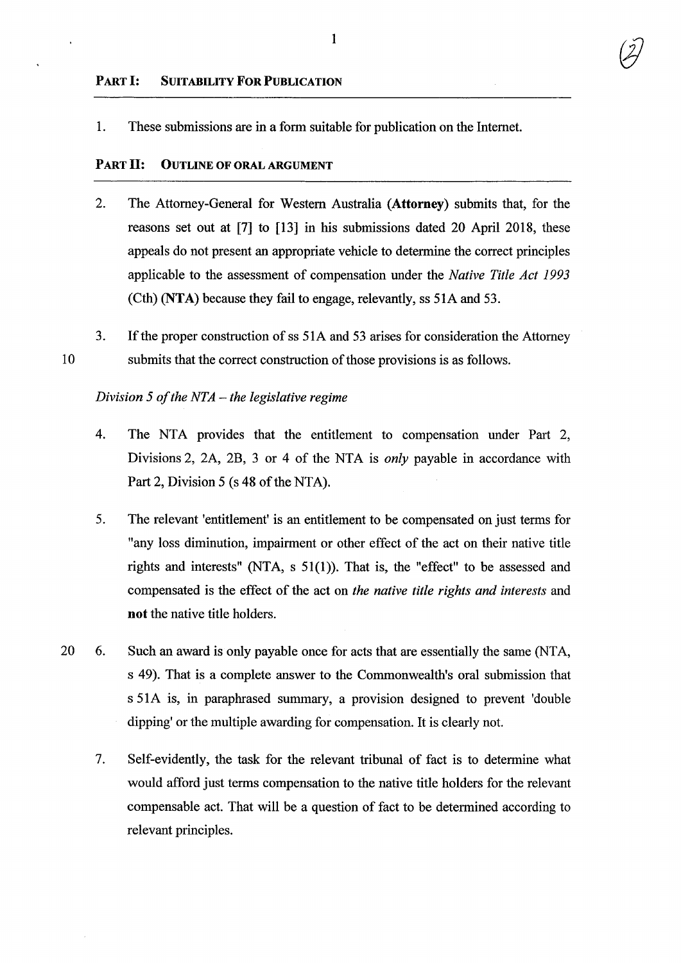1. These submissions are in a form suitable for publication on the Internet.

## PART II: OUTLINE OF ORAL ARGUMENT

- 2. The Attorney-General for Western Australia (Attorney) submits that, for the reasons set out at [7] to [13] in his submissions dated 20 April 2018, these appeals do not present an appropriate vehicle to determine the correct principles applicable to the assessment of compensation under the *Native Title Act 1993*  (Cth) (NTA) because they fail to engage, relevantly, ss 51A and 53.
- 10 3. If the proper construction of ss 51 A and 53 arises for consideration the Attorney submits that the correct construction of those provisions is as follows.

## *Division* 5 *of the NTA- the legislative regime*

- 4. The NTA provides that the entitlement to compensation under Part 2, Divisions 2, 2A, 2B, 3 or 4 of the NTA is *only* payable in accordance with Part 2, Division 5 (s 48 of the NTA).
- 5. The relevant 'entitlement' is an entitlement to be compensated on just terms for "any loss diminution, impairment or other effect of the act on their native title rights and interests" (NTA, s 51(1)). That is, the "effect" to be assessed and compensated is the effect of the act on *the native title rights and interests* and not the native title holders.
- 20 6. Such an award is only payable once for acts that are essentially the same (NTA, s 49). That is a complete answer to the Commonwealth's oral submission that s 51A is, in paraphrased summary, a provision designed to prevent 'double dipping' or the multiple awarding for compensation. It is clearly not.
	- 7. Self-evidently, the task for the relevant tribunal of fact is to determine what would afford just terms compensation to the native title holders for the relevant compensable act. That will be a question of fact to be determined according to relevant principles.

1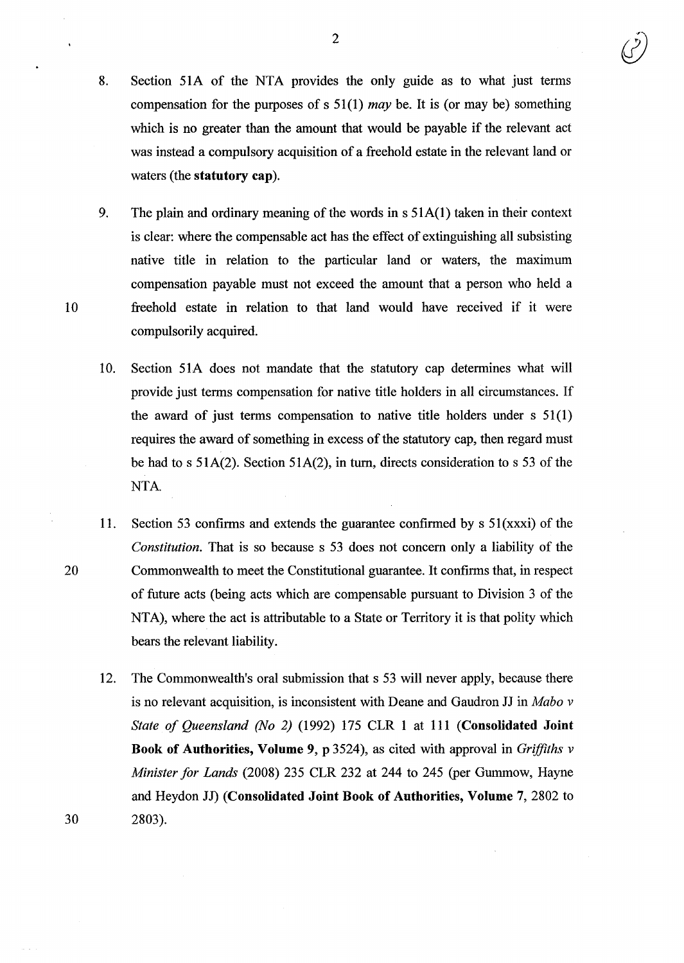- 8. Section 51A of the NTA provides the only guide as to what just terms compensation for the purposes of s 51 (1) *may* be. It is (or may be) something which is no greater than the amount that would be payable if the relevant act was instead a compulsory acquisition of a freehold estate in the relevant land or waters (the **statutory cap).**
- 9. The plain and ordinary meaning of the words in  $s$  51A(1) taken in their context is clear: where the compensable act has the effect of extinguishing all subsisting native title in relation to the particular land or waters, the maximum compensation payable must not exceed the amount that a person who held a 10 freehold estate in relation to that land would have received if it were compulsorily acquired.
	- 10. Section 51A does not mandate that the statutory cap determines what will provide just terms compensation for native title holders in all circumstances. If the award of just terms compensation to native title holders under s 51(1) requires the award of something in excess of the statutory cap, then regard must be had to s 51A(2). Section 51A(2), in turn, directs consideration to s 53 of the NTA.
- 11. Section 53 confirms and extends the guarantee confirmed by s 51(xxxi) of the *Constitution.* That is so because s 53 does not concern only a liability of the 20 Commonwealth to meet the Constitutional guarantee. It confirms that, in respect of future acts (being acts which are compensable pursuant to Division 3 of the NTA), where the act is attributable to a State or Territory it is that polity which bears the relevant liability.
- 12. The Commonwealth's oral submission that s 53 will never apply, because there is no relevant acquisition, is inconsistent with Deane and Gaudron JJ in *Mabo v State of Queensland (No 2)* (1992) 175 CLR 1 at 111 **(Consolidated Joint Book of Authorities, Volume** 9, p 3524), as cited with approval in *Griffiths v Minister for Lands* (2008) 235 CLR 232 at 244 to 245 (per Gummow, Hayne and Heydon JJ) **(Consolidated Joint Book of Authorities, Volume** 7, 2802 to 30 2803).